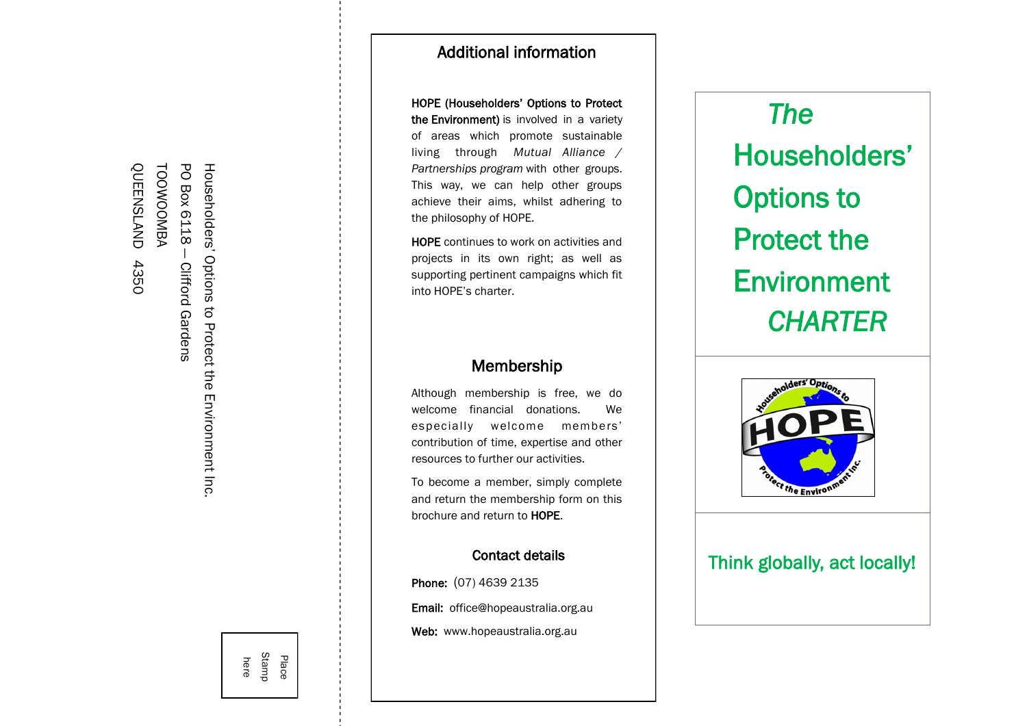TOOWOOMBA **- - - - - - - - - - - - - - - - - - - - - - - - - - - - - - - - - - - - - - - - -** OUEENSLAND QUEENSLAND 4350 PO Box 6118 Householders' Options to Protect the Environment Inc. — Clifford Gardens 4350 **Clifford Gardens** 

## Additional information

HOPE (Householders' Options to Protect the Environment) is involved in a variety of areas which promote sustainable living through *Mutual Alliance / Partnerships program* with other groups. This way, we can help other groups achieve their aims, whilst adhering to the philosophy of HOPE.

HOPE continues to work on activities and projects in its own right; as well as supporting pertinent campaigns which fit into HOPE's charter.

## Membership

Although membership is free, we do welcome financial donations. We especially welcome members' contribution of time, expertise and other resources to further our activities.

To become a member, simply complete and return the membership form on this brochure and return to HOPE

# to **HOPE.<br>t details<br>135**<br>nustralia.c Contact details

Phone: (07) 4639 2135

Email: office@hopeaustralia.org.au

Web: www.hopeaustralia.org.au

*The* Householders' Options to Protect the **Environment** *CHARTER*



## Think globally, act locally!

here Stamp Place **- - - - - - - - - - - - - - - - - - - - - - - - - - - - - - - - - - - - - - - - - - - - - - - - - - - - - - - - - - - - - - - - - - - - - - - - - - - -**